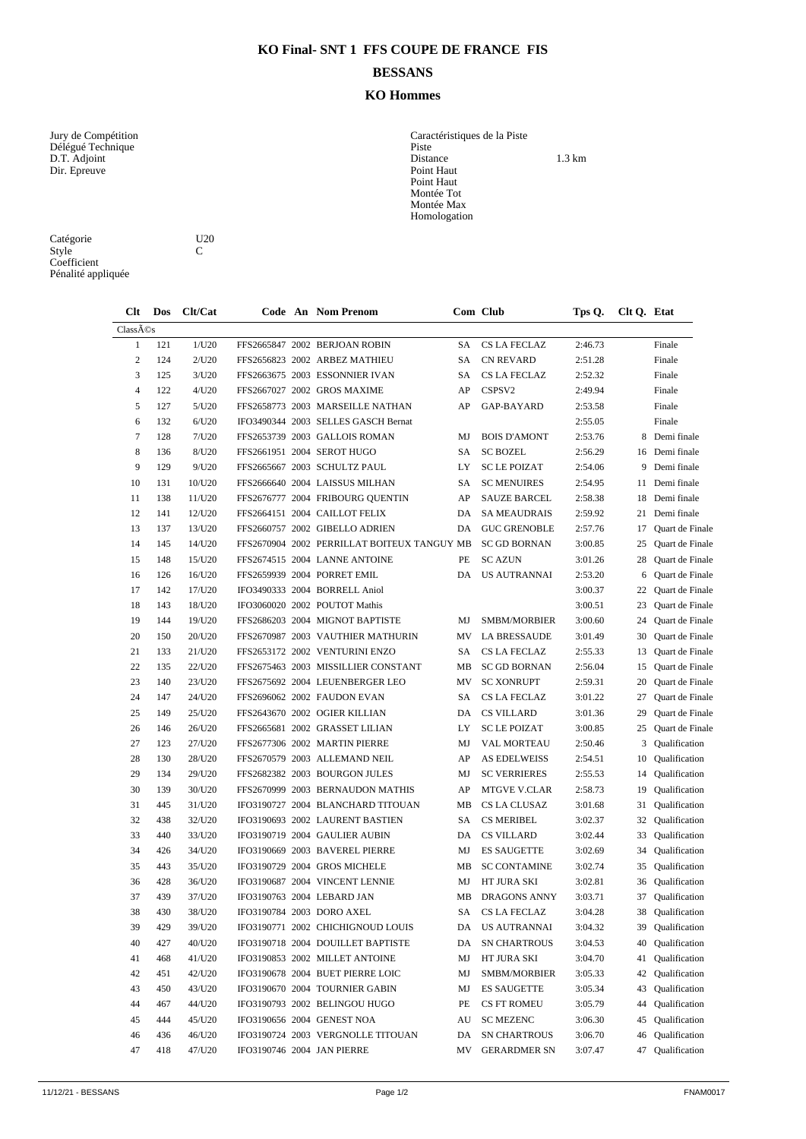## **KO Final- SNT 1 FFS COUPE DE FRANCE FIS**

## **BESSANS**

## **KO Hommes**

Délégué Technique **Piste** Dir. Epreuve Point Haut

Caractéristiques de la Piste<br>Piste<br>Distance<br>Point Haut D.T. Adjoint 1.3 km Point Haut Montée Tot Montée Max Homologation

| Catégorie          | U |
|--------------------|---|
| Style              | C |
| Coefficient        |   |
| Pénalité appliquée |   |

U20  $\frac{C}{C}$ 

| $Cl$ t         | Dos | Clt/Cat |  |  | Code An Nom Prenom                          |    | Com Club            | Tps Q.  | Clt Q. Etat |                  |
|----------------|-----|---------|--|--|---------------------------------------------|----|---------------------|---------|-------------|------------------|
| Classés        |     |         |  |  |                                             |    |                     |         |             |                  |
| $\mathbf{1}$   | 121 | 1/U20   |  |  | FFS2665847 2002 BERJOAN ROBIN               | SA | <b>CS LA FECLAZ</b> | 2:46.73 |             | Finale           |
| $\overline{c}$ | 124 | 2/U20   |  |  | FFS2656823 2002 ARBEZ MATHIEU               | SA | <b>CN REVARD</b>    | 2:51.28 |             | Finale           |
| 3              | 125 | 3/U20   |  |  | FFS2663675 2003 ESSONNIER IVAN              | SA | CS LA FECLAZ        | 2:52.32 |             | Finale           |
| $\overline{4}$ | 122 | 4/U20   |  |  | FFS2667027 2002 GROS MAXIME                 | AP | CSPSV2              | 2:49.94 |             | Finale           |
| 5              | 127 | 5/U20   |  |  | FFS2658773 2003 MARSEILLE NATHAN            | AP | GAP-BAYARD          | 2:53.58 |             | Finale           |
| 6              | 132 | 6/U20   |  |  | IFO3490344 2003 SELLES GASCH Bernat         |    |                     | 2:55.05 |             | Finale           |
| $\tau$         | 128 | 7/U20   |  |  | FFS2653739 2003 GALLOIS ROMAN               | MJ | <b>BOIS D'AMONT</b> | 2:53.76 |             | 8 Demi finale    |
| 8              | 136 | 8/U20   |  |  | FFS2661951 2004 SEROT HUGO                  | SA | <b>SC BOZEL</b>     | 2:56.29 |             | 16 Demi finale   |
| 9              | 129 | 9/U20   |  |  | FFS2665667 2003 SCHULTZ PAUL                | LY | <b>SC LE POIZAT</b> | 2:54.06 |             | 9 Demi finale    |
| 10             | 131 | 10/U20  |  |  | FFS2666640 2004 LAISSUS MILHAN              | SA | <b>SC MENUIRES</b>  | 2:54.95 | 11          | Demi finale      |
| 11             | 138 | 11/U20  |  |  | FFS2676777 2004 FRIBOURG QUENTIN            | AP | <b>SAUZE BARCEL</b> | 2:58.38 | 18          | Demi finale      |
| 12             | 141 | 12/U20  |  |  | FFS2664151 2004 CAILLOT FELIX               | DA | <b>SA MEAUDRAIS</b> | 2:59.92 | 21          | Demi finale      |
| 13             | 137 | 13/U20  |  |  | FFS2660757 2002 GIBELLO ADRIEN              | DA | <b>GUC GRENOBLE</b> | 2:57.76 | 17          | Quart de Finale  |
| 14             | 145 | 14/U20  |  |  | FFS2670904 2002 PERRILLAT BOITEUX TANGUY MB |    | <b>SC GD BORNAN</b> | 3:00.85 | 25          | Quart de Finale  |
| 15             | 148 | 15/U20  |  |  | FFS2674515 2004 LANNE ANTOINE               | PE | <b>SC AZUN</b>      | 3:01.26 | 28          | Quart de Finale  |
| 16             | 126 | 16/U20  |  |  | FFS2659939 2004 PORRET EMIL                 | DA | <b>US AUTRANNAI</b> | 2:53.20 | 6           | Quart de Finale  |
| 17             | 142 | 17/U20  |  |  | IFO3490333 2004 BORRELL Aniol               |    |                     | 3:00.37 | 22          | Quart de Finale  |
| 18             | 143 | 18/U20  |  |  | IFO3060020 2002 POUTOT Mathis               |    |                     | 3:00.51 | 23          | Quart de Finale  |
| 19             | 144 | 19/U20  |  |  | FFS2686203 2004 MIGNOT BAPTISTE             | MJ | <b>SMBM/MORBIER</b> | 3:00.60 | 24          | Quart de Finale  |
| 20             | 150 | 20/U20  |  |  | FFS2670987 2003 VAUTHIER MATHURIN           | MV | LA BRESSAUDE        | 3:01.49 | 30          | Quart de Finale  |
| 21             | 133 | 21/U20  |  |  | FFS2653172 2002 VENTURINI ENZO              | SA | CS LA FECLAZ        | 2:55.33 | 13          | Quart de Finale  |
| 22             | 135 | 22/U20  |  |  | FFS2675463 2003 MISSILLIER CONSTANT         | MВ | <b>SC GD BORNAN</b> | 2:56.04 | 15          | Quart de Finale  |
| 23             | 140 | 23/U20  |  |  | FFS2675692 2004 LEUENBERGER LEO             | MV | <b>SC XONRUPT</b>   | 2:59.31 | 20          | Quart de Finale  |
| 24             | 147 | 24/U20  |  |  | FFS2696062 2002 FAUDON EVAN                 | SA | CS LA FECLAZ        | 3:01.22 | 27          | Quart de Finale  |
| 25             | 149 | 25/U20  |  |  | FFS2643670 2002 OGIER KILLIAN               | DA | <b>CS VILLARD</b>   | 3:01.36 | 29          | Quart de Finale  |
| 26             | 146 | 26/U20  |  |  | FFS2665681 2002 GRASSET LILIAN              | LY | <b>SC LE POIZAT</b> | 3:00.85 | 25          | Quart de Finale  |
| 27             | 123 | 27/U20  |  |  | FFS2677306 2002 MARTIN PIERRE               | MJ | <b>VAL MORTEAU</b>  | 2:50.46 | 3           | Qualification    |
| 28             | 130 | 28/U20  |  |  | FFS2670579 2003 ALLEMAND NEIL               | AP | <b>AS EDELWEISS</b> | 2:54.51 | 10          | Qualification    |
| 29             | 134 | 29/U20  |  |  | FFS2682382 2003 BOURGON JULES               | MJ | <b>SC VERRIERES</b> | 2:55.53 | 14          | Qualification    |
| 30             | 139 | 30/U20  |  |  | FFS2670999 2003 BERNAUDON MATHIS            | AP | <b>MTGVE V.CLAR</b> | 2:58.73 | 19          | Qualification    |
| 31             | 445 | 31/U20  |  |  | IFO3190727 2004 BLANCHARD TITOUAN           | MB | CS LA CLUSAZ        | 3:01.68 | 31          | Qualification    |
| 32             | 438 | 32/U20  |  |  | IFO3190693 2002 LAURENT BASTIEN             | SA | <b>CS MERIBEL</b>   | 3:02.37 | 32          | Qualification    |
| 33             | 440 | 33/U20  |  |  | IFO3190719 2004 GAULIER AUBIN               | DA | <b>CS VILLARD</b>   | 3:02.44 | 33          | Qualification    |
| 34             | 426 | 34/U20  |  |  | IFO3190669 2003 BAVEREL PIERRE              | MJ | <b>ES SAUGETTE</b>  | 3:02.69 | 34          | Qualification    |
| 35             | 443 | 35/U20  |  |  | IFO3190729 2004 GROS MICHELE                | MB | <b>SC CONTAMINE</b> | 3:02.74 | 35          | Qualification    |
| 36             | 428 | 36/U20  |  |  | IFO3190687 2004 VINCENT LENNIE              | MJ | HT JURA SKI         | 3:02.81 | 36          | Qualification    |
| 37             | 439 | 37/U20  |  |  | IFO3190763 2004 LEBARD JAN                  | MB | <b>DRAGONS ANNY</b> | 3:03.71 | 37          | Qualification    |
| 38             | 430 | 38/U20  |  |  | IFO3190784 2003 DORO AXEL                   | SA | CS LA FECLAZ        | 3:04.28 |             | 38 Qualification |
| 39             | 429 | 39/U20  |  |  | IFO3190771 2002 CHICHIGNOUD LOUIS           | DA | US AUTRANNAI        | 3:04.32 | 39          | Qualification    |
| 40             | 427 | 40/U20  |  |  | IFO3190718 2004 DOUILLET BAPTISTE           | DA | <b>SN CHARTROUS</b> | 3:04.53 | 40          | Qualification    |
| 41             | 468 | 41/U20  |  |  | IFO3190853 2002 MILLET ANTOINE              | MJ | HT JURA SKI         | 3:04.70 | 41          | Qualification    |
| 42             | 451 | 42/U20  |  |  | IFO3190678 2004 BUET PIERRE LOIC            | MJ | SMBM/MORBIER        | 3:05.33 | 42          | Qualification    |
| 43             | 450 | 43/U20  |  |  | IFO3190670 2004 TOURNIER GABIN              | MJ | <b>ES SAUGETTE</b>  | 3:05.34 | 43          | Qualification    |
| 44             | 467 | 44/U20  |  |  | IFO3190793 2002 BELINGOU HUGO               | PE | <b>CS FT ROMEU</b>  | 3:05.79 | 44          | Qualification    |
| 45             | 444 | 45/U20  |  |  | IFO3190656 2004 GENEST NOA                  | AU | <b>SC MEZENC</b>    | 3:06.30 | 45          | Qualification    |
| 46             | 436 | 46/U20  |  |  | IFO3190724 2003 VERGNOLLE TITOUAN           | DA | <b>SN CHARTROUS</b> | 3:06.70 | 46          | Oualification    |
| 47             | 418 | 47/U20  |  |  | IFO3190746 2004 JAN PIERRE                  | MV | <b>GERARDMER SN</b> | 3:07.47 | 47          | Qualification    |
|                |     |         |  |  |                                             |    |                     |         |             |                  |